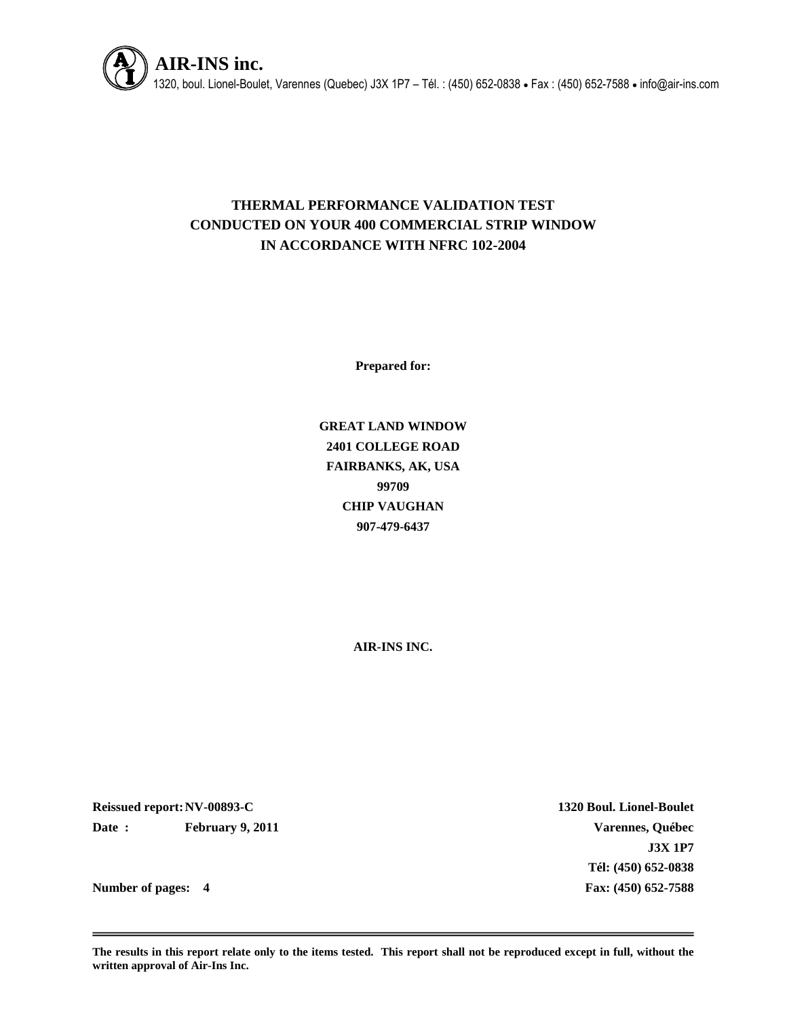

# **THERMAL PERFORMANCE VALIDATION TEST CONDUCTED ON YOUR 400 COMMERCIAL STRIP WINDOW IN ACCORDANCE WITH NFRC 102-2004**

**Prepared for:**

**GREAT LAND WINDOW 2401 COLLEGE ROAD FAIRBANKS, AK, USA 99709 CHIP VAUGHAN 907-479-6437**

**AIR-INS INC.**

**Reissued report:NV-00893-C 1320 Boul. Lionel-Boulet Date : February 9, 2011 Varennes, Québec**

**J3X 1P7 Tél: (450) 652-0838 Number of pages: 4 Fax: (450) 652-7588**

**The results in this report relate only to the items tested. This report shall not be reproduced except in full, without the written approval of Air-Ins Inc.**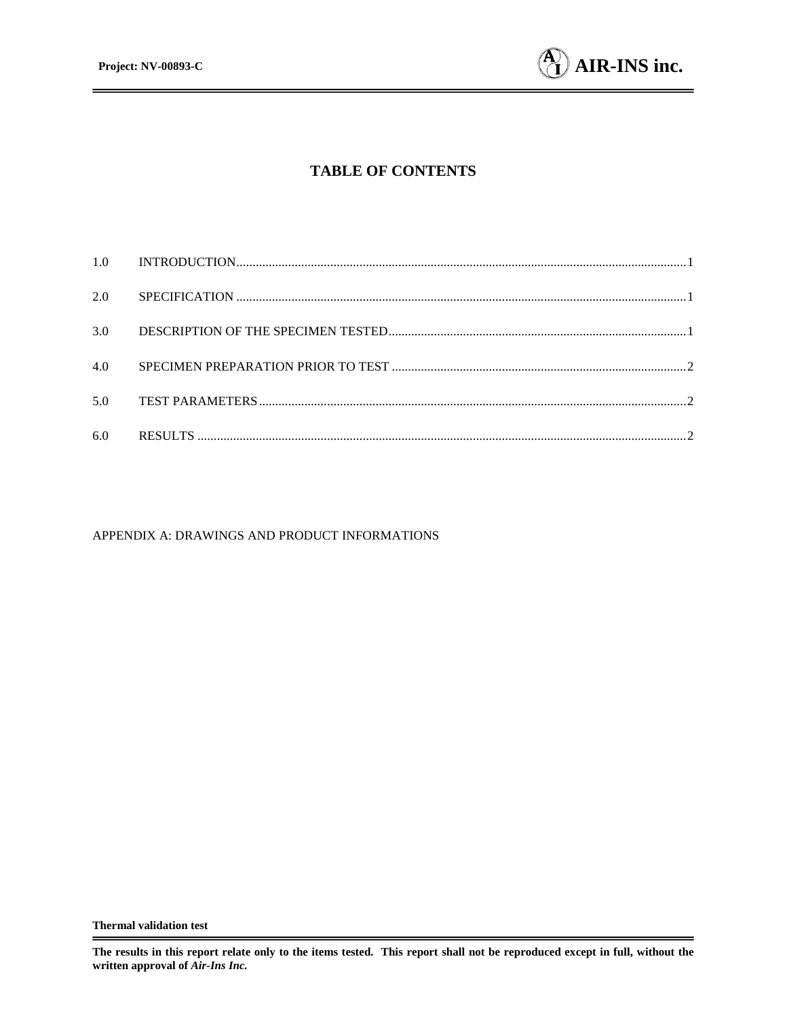

# **TABLE OF CONTENTS**

| 2.0 |  |
|-----|--|
| 3.0 |  |
| 4.0 |  |
| 5.0 |  |
| 6.0 |  |

#### APPENDIX A: DRAWINGS AND PRODUCT INFORMATIONS

**The results in this report relate only to the items tested. This report shall not be reproduced except in full, without the written approval of** *Air-Ins Inc.*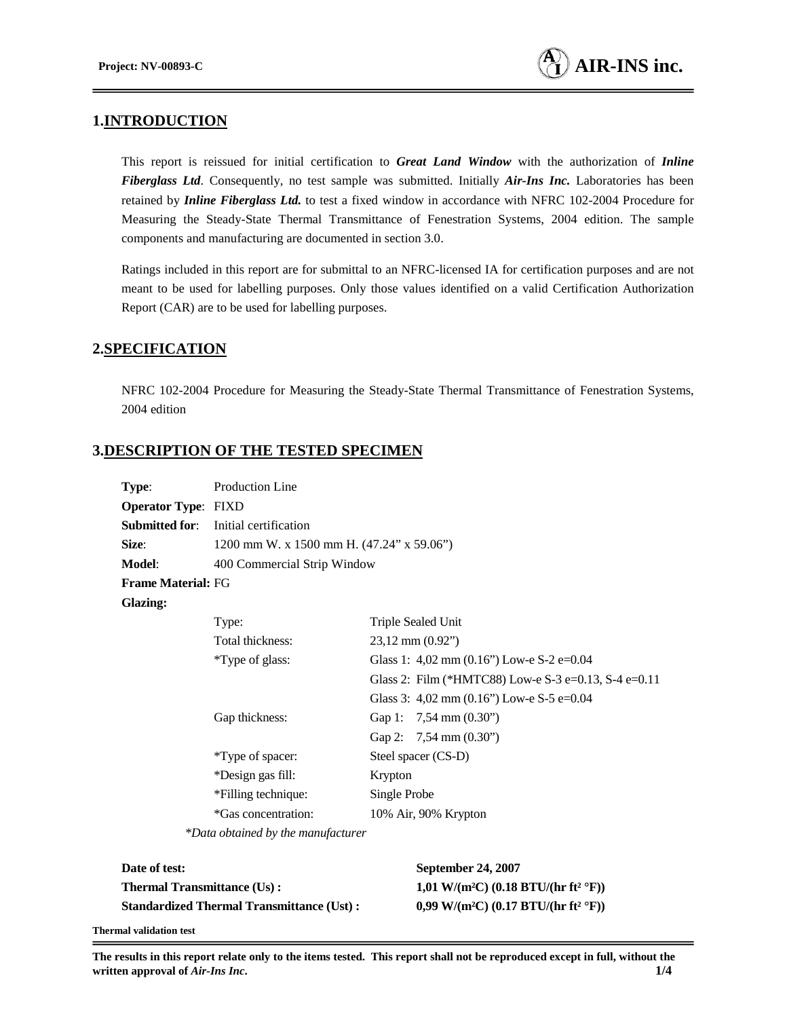## **1.INTRODUCTION**

This report is reissued for initial certification to *Great Land Window* with the authorization of *Inline Fiberglass Ltd*. Consequently, no test sample was submitted. Initially *Air-Ins Inc.* Laboratories has been retained by *Inline Fiberglass Ltd.* to test a fixed window in accordance with NFRC 102-2004 Procedure for Measuring the Steady-State Thermal Transmittance of Fenestration Systems, 2004 edition. The sample components and manufacturing are documented in section 3.0.

Ratings included in this report are for submittal to an NFRC-licensed IA for certification purposes and are not meant to be used for labelling purposes. Only those values identified on a valid Certification Authorization Report (CAR) are to be used for labelling purposes.

#### **2.SPECIFICATION**

NFRC 102-2004 Procedure for Measuring the Steady-State Thermal Transmittance of Fenestration Systems, 2004 edition

## **3.DESCRIPTION OF THE TESTED SPECIMEN**

| Type:                      | Production Line                           |                                                      |
|----------------------------|-------------------------------------------|------------------------------------------------------|
| <b>Operator Type: FIXD</b> |                                           |                                                      |
| Submitted for:             | Initial certification                     |                                                      |
| <b>Size:</b>               | 1200 mm W. x 1500 mm H. (47.24" x 59.06") |                                                      |
| Model:                     | 400 Commercial Strip Window               |                                                      |
| <b>Frame Material: FG</b>  |                                           |                                                      |
| Glazing:                   |                                           |                                                      |
|                            | Type:                                     | Triple Sealed Unit                                   |
|                            | Total thickness:                          | $23,12$ mm $(0.92)$                                  |
|                            | *Type of glass:                           | Glass 1: 4,02 mm $(0.16)$ Low-e S-2 e=0.04           |
|                            |                                           | Glass 2: Film (*HMTC88) Low-e S-3 e=0.13, S-4 e=0.11 |
|                            |                                           | Glass 3: 4,02 mm $(0.16)$ Low-e S-5 e=0.04           |
|                            | Gap thickness:                            | Gap 1: $7,54 \text{ mm} (0.30^{\circ})$              |
|                            |                                           | Gap 2: $7,54 \text{ mm} (0.30^{\circ})$              |
|                            | *Type of spacer:                          | Steel spacer (CS-D)                                  |
|                            | *Design gas fill:                         | Krypton                                              |
|                            | *Filling technique:                       | Single Probe                                         |
|                            | *Gas concentration:                       | 10% Air, 90% Krypton                                 |
|                            | *Data obtained by the manufacturer        |                                                      |

| Date of test:                                    | <b>September 24, 2007</b>                                    |
|--------------------------------------------------|--------------------------------------------------------------|
| <b>Thermal Transmittance (Us):</b>               | 1,01 W/(m <sup>2</sup> C) (0.18 BTU/(hr ft <sup>2</sup> °F)) |
| <b>Standardized Thermal Transmittance (Ust):</b> | 0,99 W/(m <sup>2</sup> C) (0.17 BTU/(hr ft <sup>2</sup> °F)) |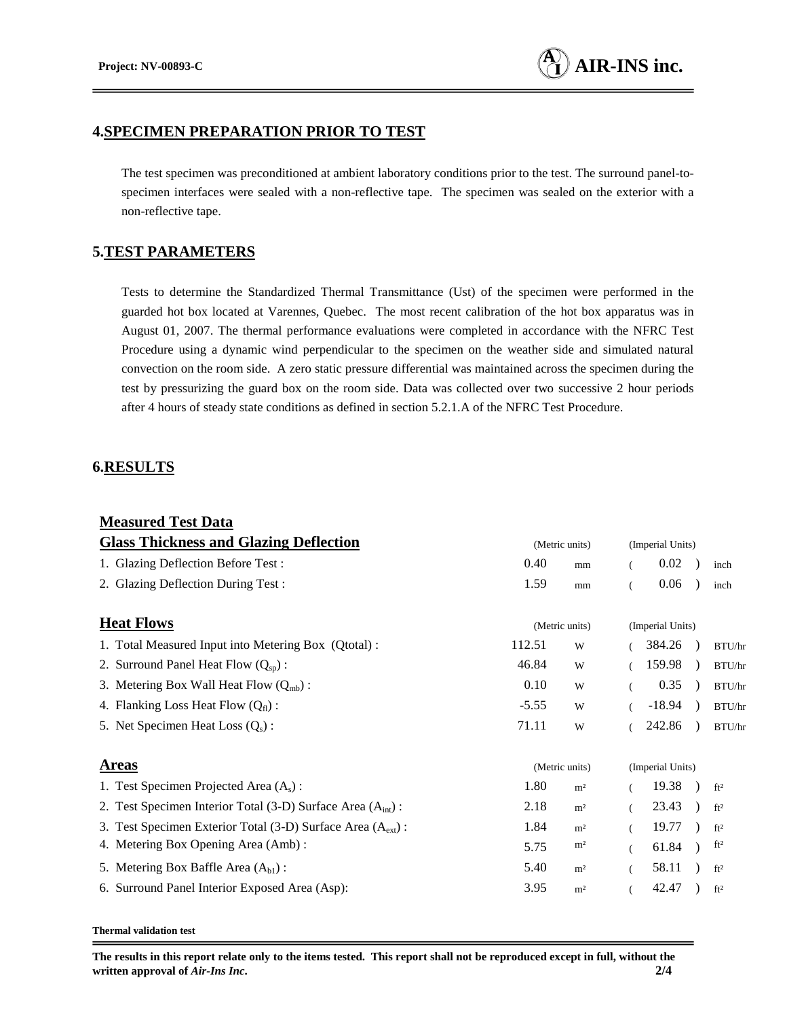#### **4.SPECIMEN PREPARATION PRIOR TO TEST**

The test specimen was preconditioned at ambient laboratory conditions prior to the test. The surround panel-tospecimen interfaces were sealed with a non-reflective tape. The specimen was sealed on the exterior with a non-reflective tape.

## **5.TEST PARAMETERS**

Tests to determine the Standardized Thermal Transmittance (Ust) of the specimen were performed in the guarded hot box located at Varennes, Quebec. The most recent calibration of the hot box apparatus was in August 01, 2007. The thermal performance evaluations were completed in accordance with the NFRC Test Procedure using a dynamic wind perpendicular to the specimen on the weather side and simulated natural convection on the room side. A zero static pressure differential was maintained across the specimen during the test by pressurizing the guard box on the room side. Data was collected over two successive 2 hour periods after 4 hours of steady state conditions as defined in section 5.2.1.A of the NFRC Test Procedure.

## **6.RESULTS**

| <b>Measured Test Data</b>                                     |                |                  |                  |          |  |                 |
|---------------------------------------------------------------|----------------|------------------|------------------|----------|--|-----------------|
| <b>Glass Thickness and Glazing Deflection</b>                 | (Metric units) | (Imperial Units) |                  |          |  |                 |
| 1. Glazing Deflection Before Test:                            | 0.40           | mm               |                  | 0.02     |  | inch            |
| 2. Glazing Deflection During Test:                            | 1.59           | mm               | $\overline{(}$   | 0.06     |  | inch            |
| <b>Heat Flows</b>                                             | (Metric units) |                  | (Imperial Units) |          |  |                 |
| 1. Total Measured Input into Metering Box (Qtotal):           | 112.51         | W                |                  | 384.26   |  | BTU/hr          |
| 2. Surround Panel Heat Flow $(Q_{\rm SD})$ :                  | 46.84          | W                |                  | 159.98   |  | BTU/hr          |
| 3. Metering Box Wall Heat Flow $(Q_{mb})$ :                   | 0.10           | W                |                  | 0.35     |  | BTU/hr          |
| 4. Flanking Loss Heat Flow $(Q_f)$ :                          | $-5.55$        | W                |                  | $-18.94$ |  | BTU/hr          |
| 5. Net Specimen Heat Loss $(Q_s)$ :                           | 71.11          | W                |                  | 242.86   |  | BTU/hr          |
| <b>Areas</b>                                                  | (Metric units) |                  | (Imperial Units) |          |  |                 |
| 1. Test Specimen Projected Area $(A_s)$ :                     | 1.80           | m <sup>2</sup>   |                  | 19.38    |  | ft <sup>2</sup> |
| 2. Test Specimen Interior Total (3-D) Surface Area $(Aint)$ : | 2.18           | m <sup>2</sup>   |                  | 23.43    |  | ft <sup>2</sup> |
| 3. Test Specimen Exterior Total (3-D) Surface Area $(Aext)$ : | 1.84           | m <sup>2</sup>   |                  | 19.77    |  | ft <sup>2</sup> |
| 4. Metering Box Opening Area (Amb):                           | 5.75           | m <sup>2</sup>   |                  | 61.84    |  | ft <sup>2</sup> |
| 5. Metering Box Baffle Area $(Abl)$ :                         | 5.40           | m <sup>2</sup>   |                  | 58.11    |  | ft <sup>2</sup> |
| 6. Surround Panel Interior Exposed Area (Asp):                | 3.95           | m <sup>2</sup>   |                  | 42.47    |  | ft <sup>2</sup> |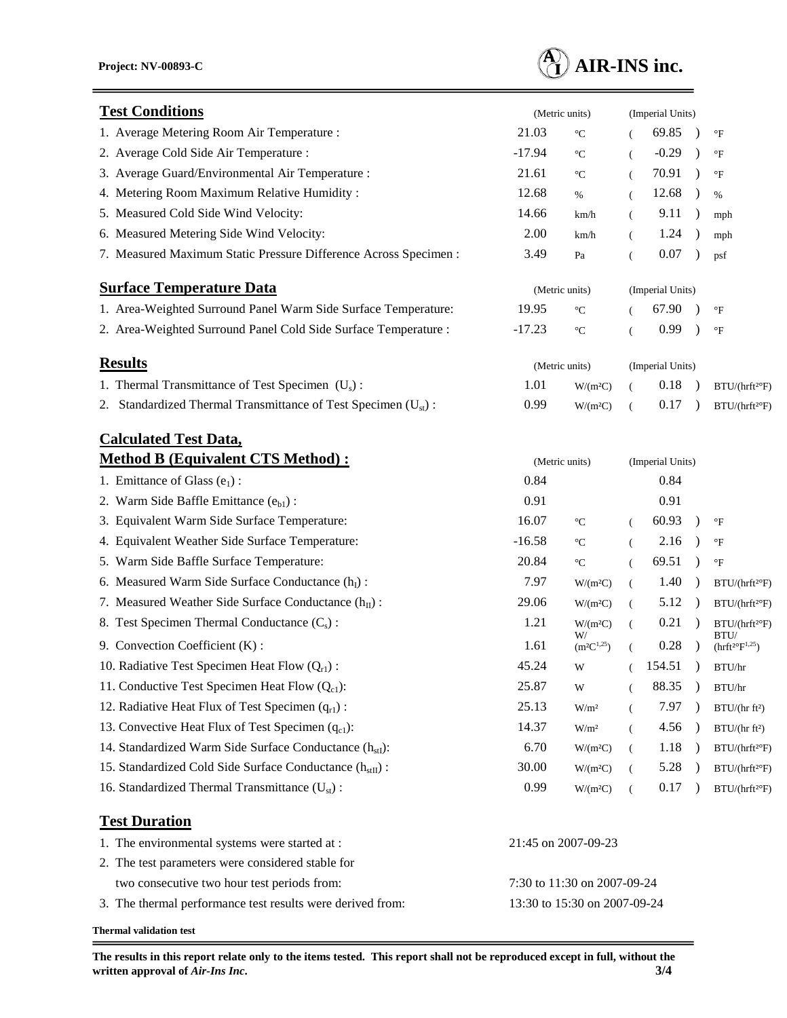

| <b>Test Conditions</b>                                                     | (Metric units)               |                            | (Imperial Units)     |                  |               |                                                  |
|----------------------------------------------------------------------------|------------------------------|----------------------------|----------------------|------------------|---------------|--------------------------------------------------|
| 1. Average Metering Room Air Temperature :                                 | 21.03                        | $\rm ^{\circ}C$            |                      | 69.85            | $\lambda$     | $\mathrm{^{\circ}F}$                             |
| 2. Average Cold Side Air Temperature :                                     | $-17.94$                     | $\rm ^{\circ}C$            | €                    | $-0.29$          | $\lambda$     | $\rm ^{\circ}F$                                  |
| 3. Average Guard/Environmental Air Temperature :                           | 21.61                        | $\rm ^{\circ}C$            | $\overline{(\ }$     | 70.91            |               | $\mathrm{^{\circ}F}$                             |
| 4. Metering Room Maximum Relative Humidity:                                | 12.68                        | $\%$                       | $\left($             | 12.68            | $\lambda$     | %                                                |
| 5. Measured Cold Side Wind Velocity:                                       | 14.66                        | km/h                       | $\left($             | 9.11             | $\rightarrow$ | mph                                              |
| 6. Measured Metering Side Wind Velocity:                                   | 2.00                         | km/h                       | $\left($             | 1.24             |               | mph                                              |
| 7. Measured Maximum Static Pressure Difference Across Specimen :           | 3.49                         | Pa                         | $\overline{(\ }$     | $0.07\,$         |               | psf                                              |
| <b>Surface Temperature Data</b>                                            |                              | (Metric units)             |                      | (Imperial Units) |               |                                                  |
| 1. Area-Weighted Surround Panel Warm Side Surface Temperature:             | 19.95                        | $\rm ^{\circ}C$            |                      | 67.90            |               | $\mathrm{^{\circ}F}$                             |
| 2. Area-Weighted Surround Panel Cold Side Surface Temperature :            | $-17.23$                     | $^{\circ} \text{C}$        | $\overline{(\cdot)}$ | 0.99             |               | $\rm ^{\circ}F$                                  |
| <b>Results</b>                                                             |                              | (Metric units)             |                      | (Imperial Units) |               |                                                  |
| 1. Thermal Transmittance of Test Specimen $(U_s)$ :                        | 1.01                         | W/(m <sup>2</sup> C)       | (                    | 0.18             |               | BTU/(hrft <sup>2</sup> °F)                       |
| 2. Standardized Thermal Transmittance of Test Specimen (U <sub>st</sub> ): | 0.99                         | W/(m <sup>2</sup> C)       | $\left($             | 0.17             |               | BTU/(hrft <sup>2</sup> °F)                       |
| <b>Calculated Test Data,</b>                                               |                              |                            |                      |                  |               |                                                  |
| <b>Method B (Equivalent CTS Method):</b>                                   |                              | (Metric units)             |                      | (Imperial Units) |               |                                                  |
| 1. Emittance of Glass $(e_1)$ :                                            | 0.84                         |                            |                      | 0.84             |               |                                                  |
| 2. Warm Side Baffle Emittance $(e_{b1})$ :                                 | 0.91                         |                            |                      | 0.91             |               |                                                  |
| 3. Equivalent Warm Side Surface Temperature:                               | 16.07                        | $\rm ^{\circ}C$            | $\left($             | 60.93            | $\lambda$     | $\mathrm{^{\circ}F}$                             |
| 4. Equivalent Weather Side Surface Temperature:                            | $-16.58$                     | $\rm ^{\circ}C$            | $\left($             | 2.16             |               | $\mathrm{^{\circ}F}$                             |
| 5. Warm Side Baffle Surface Temperature:                                   | 20.84                        | $^{\circ} \text{C}$        | $\left($             | 69.51            | $\lambda$     | $\rm ^{\circ}F$                                  |
| 6. Measured Warm Side Surface Conductance $(hI)$ :                         | 7.97                         | W/(m <sup>2</sup> C)       | $\left($             | 1.40             | $\rightarrow$ | BTU/(hrft <sup>2</sup> °F)                       |
| 7. Measured Weather Side Surface Conductance $(h_{II})$ :                  | 29.06                        | W/(m <sup>2</sup> C)       | $\left($             | 5.12             |               | BTU / (hrft <sup>2</sup> F)                      |
| 8. Test Specimen Thermal Conductance $(C_s)$ :                             | 1.21                         | W/(m <sup>2</sup> C)<br>W/ | $\left($             | 0.21             | $\rightarrow$ | $\mathrm{BTU}/(\mathrm{hrft^{2\circ}F})$<br>BTU/ |
| 9. Convection Coefficient (K):                                             | 1.61                         | $(m^2C^{1,25})$            | $\overline{(\ }$     | 0.28             |               | $(hrft^{2\circ}F^{1,25})$                        |
| 10. Radiative Test Specimen Heat Flow $(Q_{r1})$ :                         | 45.24                        | W                          |                      | 154.51           |               | BTU/hr                                           |
| 11. Conductive Test Specimen Heat Flow $(Q_{c1})$ :                        | 25.87                        | W                          |                      | 88.35            |               | BTU/hr                                           |
| 12. Radiative Heat Flux of Test Specimen $(q_{r1})$ :                      | 25.13                        | W/m <sup>2</sup>           | $\left($             | 7.97             |               | BTU/(hr ft <sup>2</sup> )                        |
| 13. Convective Heat Flux of Test Specimen $(q_{c1})$ :                     | 14.37                        | W/m <sup>2</sup>           | $\left($             | 4.56             |               | BTU/(hrft <sup>2</sup> )                         |
| 14. Standardized Warm Side Surface Conductance $(h_{st})$ :                | 6.70                         | W/(m <sup>2</sup> C)       | $\left($             | 1.18             |               | BTU/(hrft <sup>2</sup> °F)                       |
| 15. Standardized Cold Side Surface Conductance (h <sub>stII</sub> ) :      | 30.00                        | W/(m <sup>2</sup> C)       | (                    | 5.28             |               | BTU/(hrft <sup>2o</sup> F)                       |
| 16. Standardized Thermal Transmittance $(U_{st})$ :                        | 0.99                         | W/(m <sup>2</sup> C)       | $\overline{(\ }$     | 0.17             |               | BTU/(hrft <sup>2</sup> °F)                       |
| <b>Test Duration</b>                                                       |                              |                            |                      |                  |               |                                                  |
| 1. The environmental systems were started at :                             |                              | 21:45 on 2007-09-23        |                      |                  |               |                                                  |
| 2. The test parameters were considered stable for                          |                              |                            |                      |                  |               |                                                  |
| two consecutive two hour test periods from:                                | 7:30 to 11:30 on 2007-09-24  |                            |                      |                  |               |                                                  |
| 3. The thermal performance test results were derived from:                 | 13:30 to 15:30 on 2007-09-24 |                            |                      |                  |               |                                                  |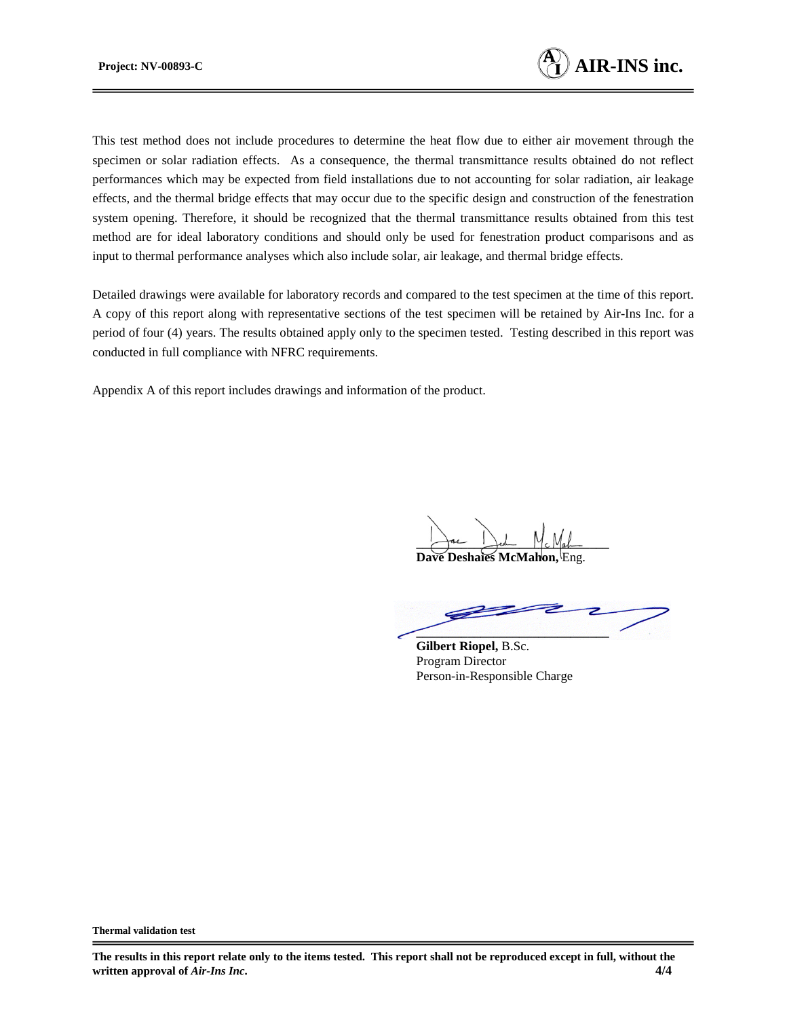

This test method does not include procedures to determine the heat flow due to either air movement through the specimen or solar radiation effects. As a consequence, the thermal transmittance results obtained do not reflect performances which may be expected from field installations due to not accounting for solar radiation, air leakage effects, and the thermal bridge effects that may occur due to the specific design and construction of the fenestration system opening. Therefore, it should be recognized that the thermal transmittance results obtained from this test method are for ideal laboratory conditions and should only be used for fenestration product comparisons and as input to thermal performance analyses which also include solar, air leakage, and thermal bridge effects.

Detailed drawings were available for laboratory records and compared to the test specimen at the time of this report. A copy of this report along with representative sections of the test specimen will be retained by Air-Ins Inc. for a period of four (4) years. The results obtained apply only to the specimen tested. Testing described in this report was conducted in full compliance with NFRC requirements.

Appendix A of this report includes drawings and information of the product.

Jac Jest Mc Mah

**Dave Deshaies McMahon** 

**\_\_\_\_\_\_\_\_\_\_\_\_\_\_\_\_\_\_\_\_\_\_\_\_\_\_\_\_\_\_**

**Gilbert Riopel,** B.Sc. Program Director Person-in-Responsible Charge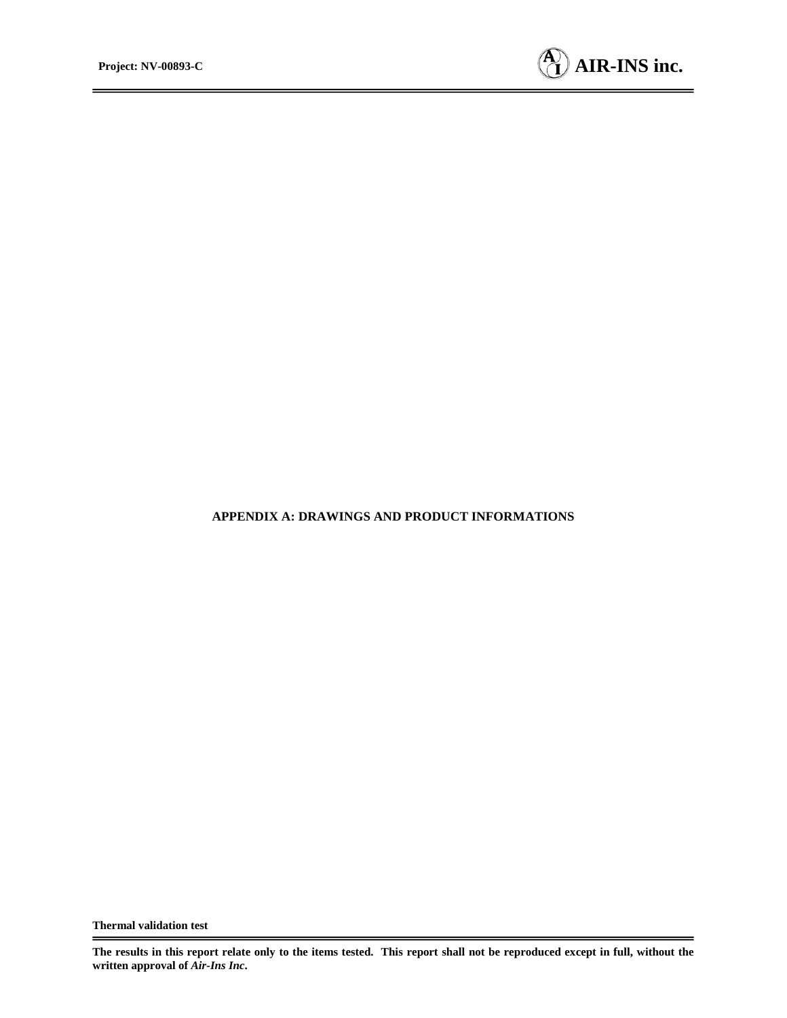

#### **APPENDIX A: DRAWINGS AND PRODUCT INFORMATIONS**

**The results in this report relate only to the items tested. This report shall not be reproduced except in full, without the written approval of** *Air-Ins Inc***.**